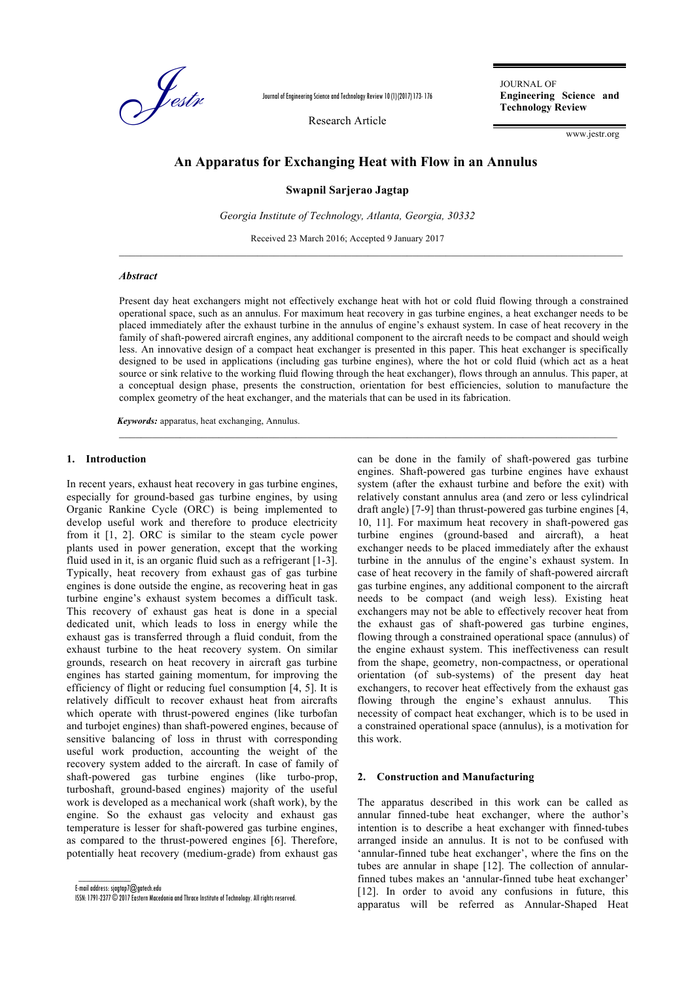

Journal of Engineering Science and Technology Review 10 (1) (2017) 173- 176

Research Article

JOURNAL OF **Engineering Science and Technology Review**

www.jestr.org

# **An Apparatus for Exchanging Heat with Flow in an Annulus**

#### **Swapnil Sarjerao Jagtap**

*Georgia Institute of Technology, Atlanta, Georgia, 30332*

Received 23 March 2016; Accepted 9 January 2017

## *Abstract*

Present day heat exchangers might not effectively exchange heat with hot or cold fluid flowing through a constrained operational space, such as an annulus. For maximum heat recovery in gas turbine engines, a heat exchanger needs to be placed immediately after the exhaust turbine in the annulus of engine's exhaust system. In case of heat recovery in the family of shaft-powered aircraft engines, any additional component to the aircraft needs to be compact and should weigh less. An innovative design of a compact heat exchanger is presented in this paper. This heat exchanger is specifically designed to be used in applications (including gas turbine engines), where the hot or cold fluid (which act as a heat source or sink relative to the working fluid flowing through the heat exchanger), flows through an annulus. This paper, at a conceptual design phase, presents the construction, orientation for best efficiencies, solution to manufacture the complex geometry of the heat exchanger, and the materials that can be used in its fabrication.

 $\_$  , and the state of the state of the state of the state of the state of the state of the state of the state of the state of the state of the state of the state of the state of the state of the state of the state of the

*Keywords:* apparatus, heat exchanging, Annulus.

## **1. Introduction**

In recent years, exhaust heat recovery in gas turbine engines, especially for ground-based gas turbine engines, by using Organic Rankine Cycle (ORC) is being implemented to develop useful work and therefore to produce electricity from it [1, 2]. ORC is similar to the steam cycle power plants used in power generation, except that the working fluid used in it, is an organic fluid such as a refrigerant [1-3]. Typically, heat recovery from exhaust gas of gas turbine engines is done outside the engine, as recovering heat in gas turbine engine's exhaust system becomes a difficult task. This recovery of exhaust gas heat is done in a special dedicated unit, which leads to loss in energy while the exhaust gas is transferred through a fluid conduit, from the exhaust turbine to the heat recovery system. On similar grounds, research on heat recovery in aircraft gas turbine engines has started gaining momentum, for improving the efficiency of flight or reducing fuel consumption [4, 5]. It is relatively difficult to recover exhaust heat from aircrafts which operate with thrust-powered engines (like turbofan and turbojet engines) than shaft-powered engines, because of sensitive balancing of loss in thrust with corresponding useful work production, accounting the weight of the recovery system added to the aircraft. In case of family of shaft-powered gas turbine engines (like turbo-prop, turboshaft, ground-based engines) majority of the useful work is developed as a mechanical work (shaft work), by the engine. So the exhaust gas velocity and exhaust gas temperature is lesser for shaft-powered gas turbine engines, as compared to the thrust-powered engines [6]. Therefore, potentially heat recovery (medium-grade) from exhaust gas

E-mail address: sjagtap7@gatech.edu

 $\overline{\phantom{a}}$ 

can be done in the family of shaft-powered gas turbine engines. Shaft-powered gas turbine engines have exhaust system (after the exhaust turbine and before the exit) with relatively constant annulus area (and zero or less cylindrical draft angle) [7-9] than thrust-powered gas turbine engines [4, 10, 11]. For maximum heat recovery in shaft-powered gas turbine engines (ground-based and aircraft), a heat exchanger needs to be placed immediately after the exhaust turbine in the annulus of the engine's exhaust system. In case of heat recovery in the family of shaft-powered aircraft gas turbine engines, any additional component to the aircraft needs to be compact (and weigh less). Existing heat exchangers may not be able to effectively recover heat from the exhaust gas of shaft-powered gas turbine engines, flowing through a constrained operational space (annulus) of the engine exhaust system. This ineffectiveness can result from the shape, geometry, non-compactness, or operational orientation (of sub-systems) of the present day heat exchangers, to recover heat effectively from the exhaust gas flowing through the engine's exhaust annulus. This necessity of compact heat exchanger, which is to be used in a constrained operational space (annulus), is a motivation for this work.

#### **2. Construction and Manufacturing**

The apparatus described in this work can be called as annular finned-tube heat exchanger, where the author's intention is to describe a heat exchanger with finned-tubes arranged inside an annulus. It is not to be confused with 'annular-finned tube heat exchanger', where the fins on the tubes are annular in shape [12]. The collection of annularfinned tubes makes an 'annular-finned tube heat exchanger' [12]. In order to avoid any confusions in future, this apparatus will be referred as Annular-Shaped Heat

ISSN: 1791-2377 © 2017 Eastern Macedonia and Thrace Institute of Technology. All rights reserved.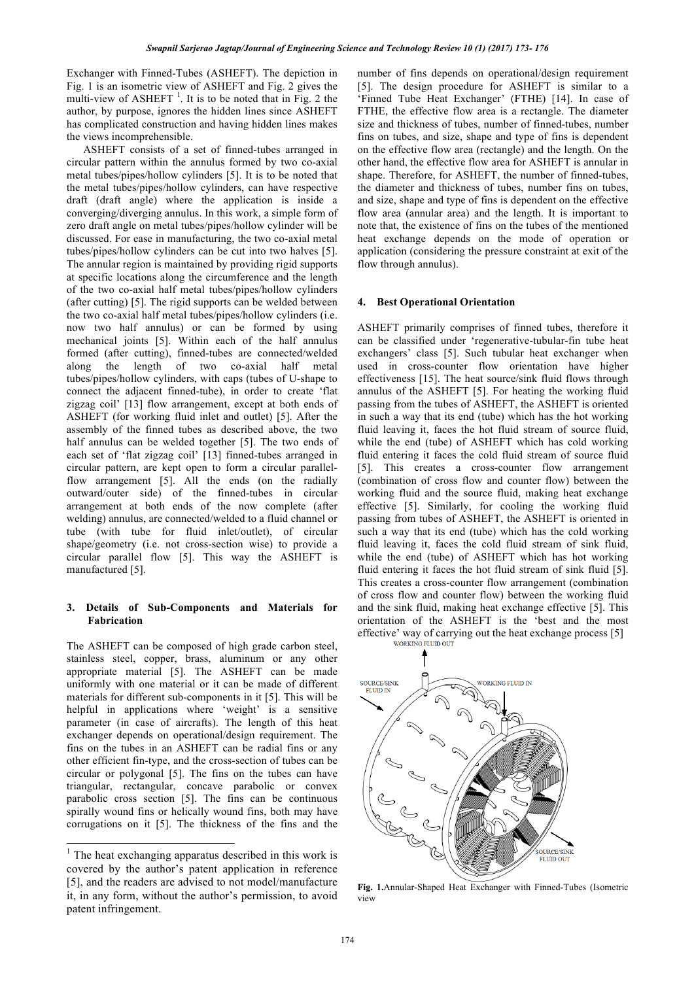Exchanger with Finned-Tubes (ASHEFT). The depiction in Fig. 1 is an isometric view of ASHEFT and Fig. 2 gives the multi-view of ASHEFT<sup>1</sup>. It is to be noted that in Fig. 2 the author, by purpose, ignores the hidden lines since ASHEFT has complicated construction and having hidden lines makes the views incomprehensible.

ASHEFT consists of a set of finned-tubes arranged in circular pattern within the annulus formed by two co-axial metal tubes/pipes/hollow cylinders [5]. It is to be noted that the metal tubes/pipes/hollow cylinders, can have respective draft (draft angle) where the application is inside a converging/diverging annulus. In this work, a simple form of zero draft angle on metal tubes/pipes/hollow cylinder will be discussed. For ease in manufacturing, the two co-axial metal tubes/pipes/hollow cylinders can be cut into two halves [5]. The annular region is maintained by providing rigid supports at specific locations along the circumference and the length of the two co-axial half metal tubes/pipes/hollow cylinders (after cutting) [5]. The rigid supports can be welded between the two co-axial half metal tubes/pipes/hollow cylinders (i.e. now two half annulus) or can be formed by using mechanical joints [5]. Within each of the half annulus formed (after cutting), finned-tubes are connected/welded along the length of two co-axial half metal tubes/pipes/hollow cylinders, with caps (tubes of U-shape to connect the adjacent finned-tube), in order to create 'flat zigzag coil' [13] flow arrangement, except at both ends of ASHEFT (for working fluid inlet and outlet) [5]. After the assembly of the finned tubes as described above, the two half annulus can be welded together [5]. The two ends of each set of 'flat zigzag coil' [13] finned-tubes arranged in circular pattern, are kept open to form a circular parallelflow arrangement [5]. All the ends (on the radially outward/outer side) of the finned-tubes in circular arrangement at both ends of the now complete (after welding) annulus, are connected/welded to a fluid channel or tube (with tube for fluid inlet/outlet), of circular shape/geometry (i.e. not cross-section wise) to provide a circular parallel flow [5]. This way the ASHEFT is manufactured [5].

## **3. Details of Sub-Components and Materials for Fabrication**

The ASHEFT can be composed of high grade carbon steel, stainless steel, copper, brass, aluminum or any other appropriate material [5]. The ASHEFT can be made uniformly with one material or it can be made of different materials for different sub-components in it [5]. This will be helpful in applications where 'weight' is a sensitive parameter (in case of aircrafts). The length of this heat exchanger depends on operational/design requirement. The fins on the tubes in an ASHEFT can be radial fins or any other efficient fin-type, and the cross-section of tubes can be circular or polygonal [5]. The fins on the tubes can have triangular, rectangular, concave parabolic or convex parabolic cross section [5]. The fins can be continuous spirally wound fins or helically wound fins, both may have corrugations on it [5]. The thickness of the fins and the number of fins depends on operational/design requirement [5]. The design procedure for ASHEFT is similar to a 'Finned Tube Heat Exchanger' (FTHE) [14]. In case of FTHE, the effective flow area is a rectangle. The diameter size and thickness of tubes, number of finned-tubes, number fins on tubes, and size, shape and type of fins is dependent on the effective flow area (rectangle) and the length. On the other hand, the effective flow area for ASHEFT is annular in shape. Therefore, for ASHEFT, the number of finned-tubes, the diameter and thickness of tubes, number fins on tubes, and size, shape and type of fins is dependent on the effective flow area (annular area) and the length. It is important to note that, the existence of fins on the tubes of the mentioned heat exchange depends on the mode of operation or application (considering the pressure constraint at exit of the flow through annulus).

#### **4. Best Operational Orientation**

ASHEFT primarily comprises of finned tubes, therefore it can be classified under 'regenerative-tubular-fin tube heat exchangers' class [5]. Such tubular heat exchanger when used in cross-counter flow orientation have higher effectiveness [15]. The heat source/sink fluid flows through annulus of the ASHEFT [5]. For heating the working fluid passing from the tubes of ASHEFT, the ASHEFT is oriented in such a way that its end (tube) which has the hot working fluid leaving it, faces the hot fluid stream of source fluid, while the end (tube) of ASHEFT which has cold working fluid entering it faces the cold fluid stream of source fluid [5]. This creates a cross-counter flow arrangement (combination of cross flow and counter flow) between the working fluid and the source fluid, making heat exchange effective [5]. Similarly, for cooling the working fluid passing from tubes of ASHEFT, the ASHEFT is oriented in such a way that its end (tube) which has the cold working fluid leaving it, faces the cold fluid stream of sink fluid, while the end (tube) of ASHEFT which has hot working fluid entering it faces the hot fluid stream of sink fluid [5]. This creates a cross-counter flow arrangement (combination of cross flow and counter flow) between the working fluid and the sink fluid, making heat exchange effective [5]. This orientation of the ASHEFT is the 'best and the most effective' way of carrying out the heat exchange process [5] working FLUID out



**Fig. 1.**Annular-Shaped Heat Exchanger with Finned-Tubes (Isometric view

<sup>&</sup>lt;sup>1</sup> The heat exchanging apparatus described in this work is covered by the author's patent application in reference [5], and the readers are advised to not model/manufacture it, in any form, without the author's permission, to avoid patent infringement.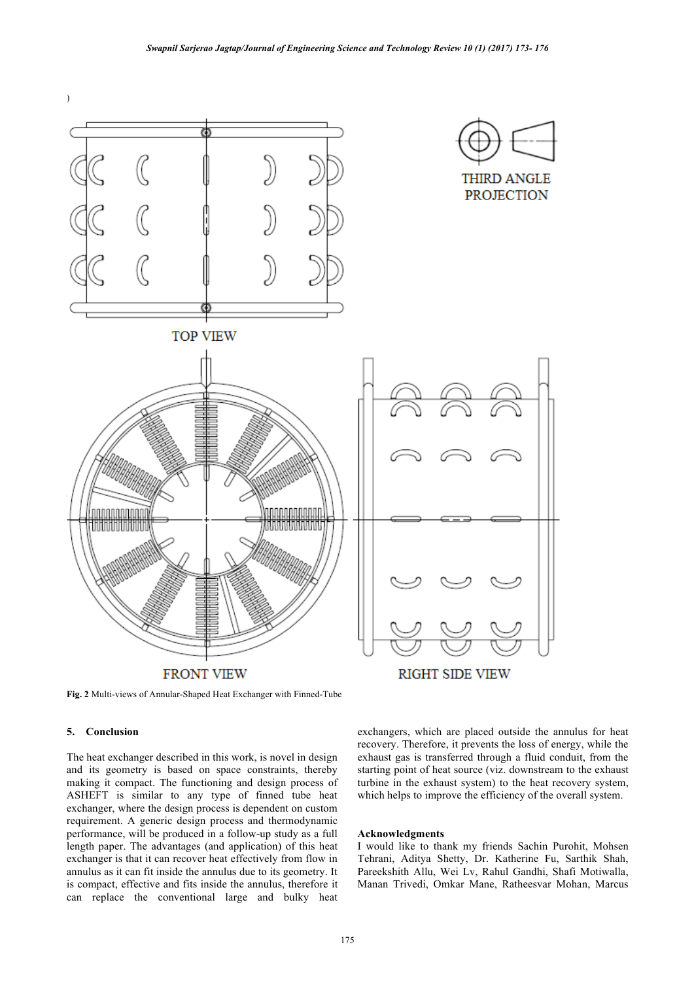

**Fig. 2** Multi-views of Annular-Shaped Heat Exchanger with Finned-Tube

# **5. Conclusion**

The heat exchanger described in this work, is novel in design and its geometry is based on space constraints, thereby making it compact. The functioning and design process of ASHEFT is similar to any type of finned tube heat exchanger, where the design process is dependent on custom requirement. A generic design process and thermodynamic performance, will be produced in a follow-up study as a full length paper. The advantages (and application) of this heat exchanger is that it can recover heat effectively from flow in annulus as it can fit inside the annulus due to its geometry. It is compact, effective and fits inside the annulus, therefore it can replace the conventional large and bulky heat

exchangers, which are placed outside the annulus for heat recovery. Therefore, it prevents the loss of energy, while the exhaust gas is transferred through a fluid conduit, from the starting point of heat source (viz. downstream to the exhaust turbine in the exhaust system) to the heat recovery system, which helps to improve the efficiency of the overall system.

#### **Acknowledgments**

I would like to thank my friends Sachin Purohit, Mohsen Tehrani, Aditya Shetty, Dr. Katherine Fu, Sarthik Shah, Pareekshith Allu, Wei Lv, Rahul Gandhi, Shafi Motiwalla, Manan Trivedi, Omkar Mane, Ratheesvar Mohan, Marcus